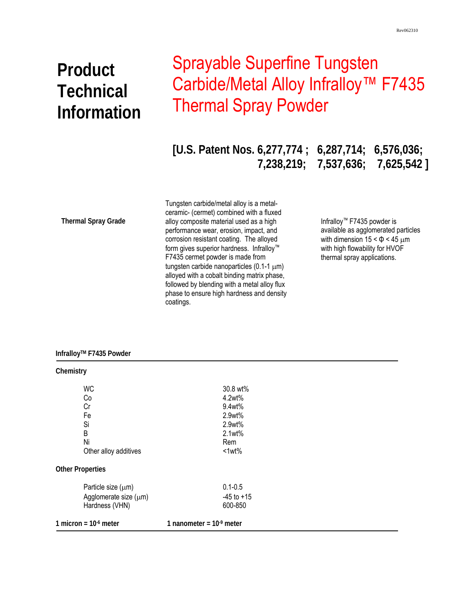# **Product Technical Information**

# Sprayable Superfine Tungsten Carbide/Metal Alloy Infralloy<sup>™</sup> F7435 Thermal Spray Powder

**[U.S. Patent Nos. 6,277,774 ; 6,287,714; 6,576,036; 7,238,219; 7,537,636; 7,625,542 ]** 

**Thermal Spray Grade** 

 phase to ensure high hardness and density Tungsten carbide/metal alloy is a metalceramic- (cermet) combined with a fluxed alloy composite material used as a high performance wear, erosion, impact, and corrosion resistant coating. The alloyed form gives superior hardness. Infralloy™ F7435 cermet powder is made from tungsten carbide nanoparticles (0.1-1 μm) alloyed with a cobalt binding matrix phase, followed by blending with a metal alloy flux coatings.

Infralloy™ F7435 powder is available as agglomerated particles with dimension  $15 < \Phi < 45 \mu m$ with high flowability for HVOF thermal spray applications.

### **InfralloyTM F7435 Powder**

| Chemistry               |                           |
|-------------------------|---------------------------|
| <b>WC</b>               | 30.8 wt%                  |
| Co                      | 4.2wt%                    |
| Cr                      | 9.4wt%                    |
| Fe                      | 2.9wt%                    |
| Si                      | 2.9wt%                    |
| B                       | 2.1wt%                    |
| Ni                      | Rem                       |
| Other alloy additives   | $<1$ wt $%$               |
| <b>Other Properties</b> |                           |
| Particle size $(\mu m)$ | $0.1 - 0.5$               |
| Agglomerate size (µm)   | $-45$ to $+15$            |
| Hardness (VHN)          | 600-850                   |
| 1 micron = $106$ meter  | 1 nanometer = $109$ meter |